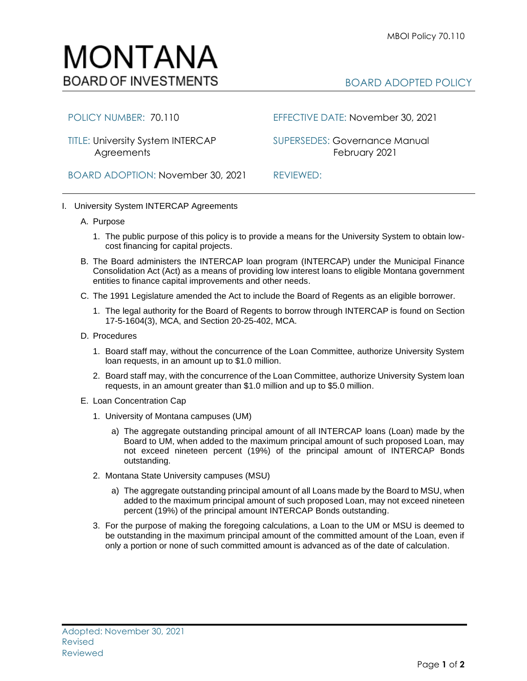

## BOARD ADOPTED POLICY

Agreements **February 2021** 

POLICY NUMBER: 70.110 EFFECTIVE DATE: November 30, 2021

TITLE: University System INTERCAP SUPERSEDES: Governance Manual

BOARD ADOPTION: November 30, 2021 REVIEWED:

## I. University System INTERCAP Agreements

## A. Purpose

- 1. The public purpose of this policy is to provide a means for the University System to obtain lowcost financing for capital projects.
- B. The Board administers the INTERCAP loan program (INTERCAP) under the Municipal Finance Consolidation Act (Act) as a means of providing low interest loans to eligible Montana government entities to finance capital improvements and other needs.
- C. The 1991 Legislature amended the Act to include the Board of Regents as an eligible borrower.
	- 1. The legal authority for the Board of Regents to borrow through INTERCAP is found on Section 17-5-1604(3), MCA, and Section 20-25-402, MCA.
- D. Procedures
	- 1. Board staff may, without the concurrence of the Loan Committee, authorize University System loan requests, in an amount up to \$1.0 million.
	- 2. Board staff may, with the concurrence of the Loan Committee, authorize University System loan requests, in an amount greater than \$1.0 million and up to \$5.0 million.
- E. Loan Concentration Cap
	- 1. University of Montana campuses (UM)
		- a) The aggregate outstanding principal amount of all INTERCAP loans (Loan) made by the Board to UM, when added to the maximum principal amount of such proposed Loan, may not exceed nineteen percent (19%) of the principal amount of INTERCAP Bonds outstanding.
	- 2. Montana State University campuses (MSU)
		- a) The aggregate outstanding principal amount of all Loans made by the Board to MSU, when added to the maximum principal amount of such proposed Loan, may not exceed nineteen percent (19%) of the principal amount INTERCAP Bonds outstanding.
	- 3. For the purpose of making the foregoing calculations, a Loan to the UM or MSU is deemed to be outstanding in the maximum principal amount of the committed amount of the Loan, even if only a portion or none of such committed amount is advanced as of the date of calculation.